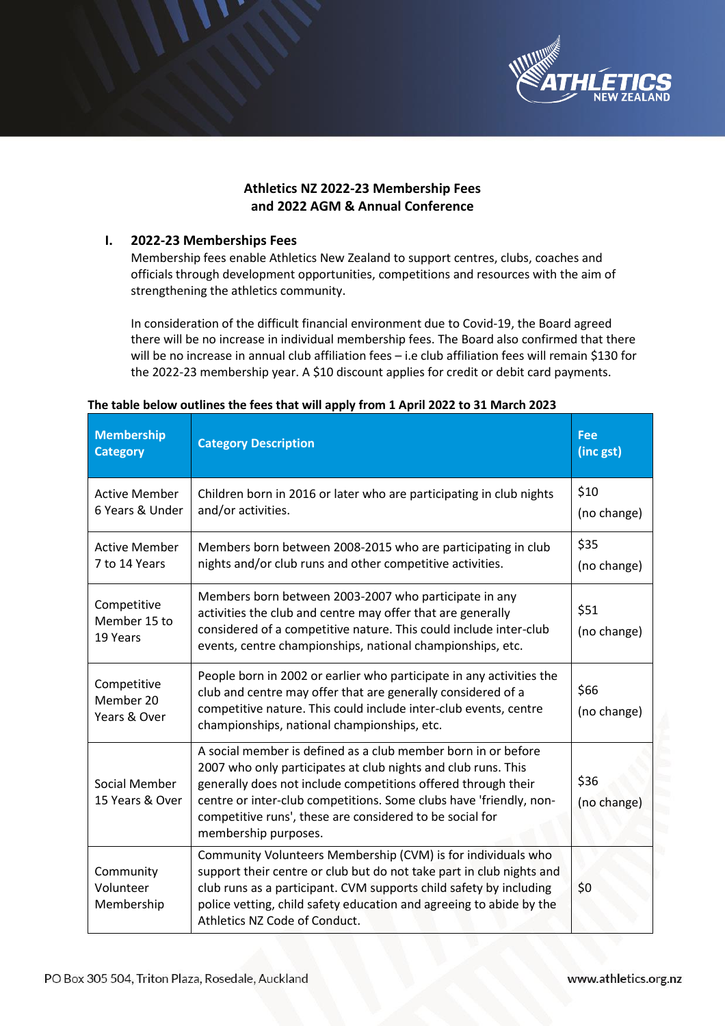

## **Athletics NZ 2022-23 Membership Fees and 2022 AGM & Annual Conference**

## **I. 2022-23 Memberships Fees**

Membership fees enable Athletics New Zealand to support centres, clubs, coaches and officials through development opportunities, competitions and resources with the aim of strengthening the athletics community.

In consideration of the difficult financial environment due to Covid-19, the Board agreed there will be no increase in individual membership fees. The Board also confirmed that there will be no increase in annual club affiliation fees – i.e club affiliation fees will remain \$130 for the 2022-23 membership year. A \$10 discount applies for credit or debit card payments.

| <b>Membership</b><br><b>Category</b>     | <b>Category Description</b>                                                                                                                                                                                                                                                                                                                               | <b>Fee</b><br>(inc gst) |
|------------------------------------------|-----------------------------------------------------------------------------------------------------------------------------------------------------------------------------------------------------------------------------------------------------------------------------------------------------------------------------------------------------------|-------------------------|
| <b>Active Member</b><br>6 Years & Under  | Children born in 2016 or later who are participating in club nights<br>and/or activities.                                                                                                                                                                                                                                                                 | \$10<br>(no change)     |
| <b>Active Member</b><br>7 to 14 Years    | Members born between 2008-2015 who are participating in club<br>nights and/or club runs and other competitive activities.                                                                                                                                                                                                                                 | \$35<br>(no change)     |
| Competitive<br>Member 15 to<br>19 Years  | Members born between 2003-2007 who participate in any<br>activities the club and centre may offer that are generally<br>considered of a competitive nature. This could include inter-club<br>events, centre championships, national championships, etc.                                                                                                   | \$51<br>(no change)     |
| Competitive<br>Member 20<br>Years & Over | People born in 2002 or earlier who participate in any activities the<br>club and centre may offer that are generally considered of a<br>competitive nature. This could include inter-club events, centre<br>championships, national championships, etc.                                                                                                   | \$66<br>(no change)     |
| Social Member<br>15 Years & Over         | A social member is defined as a club member born in or before<br>2007 who only participates at club nights and club runs. This<br>generally does not include competitions offered through their<br>centre or inter-club competitions. Some clubs have 'friendly, non-<br>competitive runs', these are considered to be social for<br>membership purposes. | \$36<br>(no change)     |
| Community<br>Volunteer<br>Membership     | Community Volunteers Membership (CVM) is for individuals who<br>support their centre or club but do not take part in club nights and<br>club runs as a participant. CVM supports child safety by including<br>police vetting, child safety education and agreeing to abide by the<br>Athletics NZ Code of Conduct.                                        | \$0                     |

## **The table below outlines the fees that will apply from 1 April 2022 to 31 March 2023**